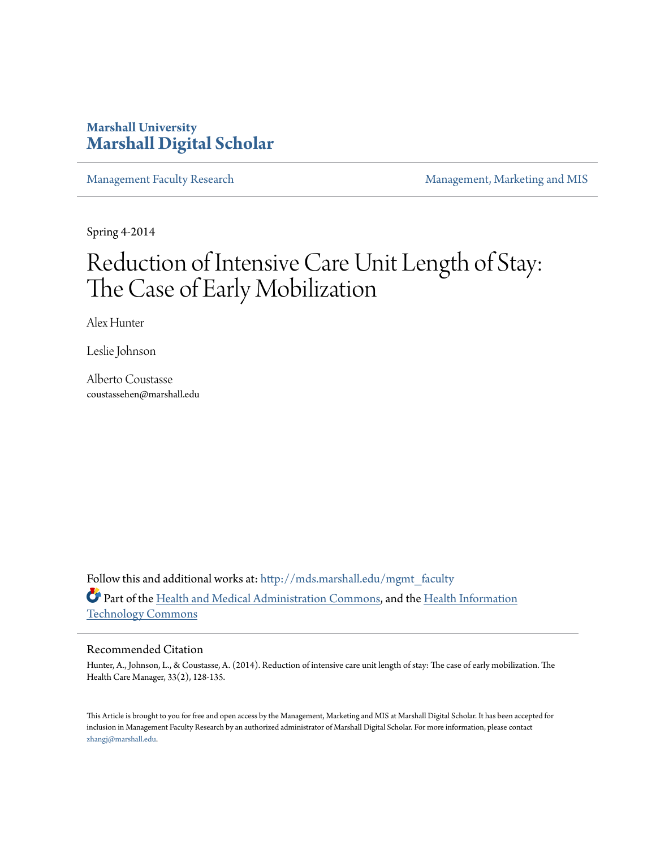# **Marshall University [Marshall Digital Scholar](http://mds.marshall.edu?utm_source=mds.marshall.edu%2Fmgmt_faculty%2F120&utm_medium=PDF&utm_campaign=PDFCoverPages)**

[Management Faculty Research](http://mds.marshall.edu/mgmt_faculty?utm_source=mds.marshall.edu%2Fmgmt_faculty%2F120&utm_medium=PDF&utm_campaign=PDFCoverPages) **[Management, Marketing and MIS](http://mds.marshall.edu/cob_mmm?utm_source=mds.marshall.edu%2Fmgmt_faculty%2F120&utm_medium=PDF&utm_campaign=PDFCoverPages)** 

Spring 4-2014

# Reduction of Intensive Care Unit Length of Stay: The Case of Early Mobilization

Alex Hunter

Leslie Johnson

Alberto Coustasse coustassehen@marshall.edu

Follow this and additional works at: [http://mds.marshall.edu/mgmt\\_faculty](http://mds.marshall.edu/mgmt_faculty?utm_source=mds.marshall.edu%2Fmgmt_faculty%2F120&utm_medium=PDF&utm_campaign=PDFCoverPages) Part of the [Health and Medical Administration Commons](http://network.bepress.com/hgg/discipline/663?utm_source=mds.marshall.edu%2Fmgmt_faculty%2F120&utm_medium=PDF&utm_campaign=PDFCoverPages), and the [Health Information](http://network.bepress.com/hgg/discipline/1239?utm_source=mds.marshall.edu%2Fmgmt_faculty%2F120&utm_medium=PDF&utm_campaign=PDFCoverPages) [Technology Commons](http://network.bepress.com/hgg/discipline/1239?utm_source=mds.marshall.edu%2Fmgmt_faculty%2F120&utm_medium=PDF&utm_campaign=PDFCoverPages)

#### Recommended Citation

Hunter, A., Johnson, L., & Coustasse, A. (2014). Reduction of intensive care unit length of stay: The case of early mobilization. The Health Care Manager, 33(2), 128-135.

This Article is brought to you for free and open access by the Management, Marketing and MIS at Marshall Digital Scholar. It has been accepted for inclusion in Management Faculty Research by an authorized administrator of Marshall Digital Scholar. For more information, please contact [zhangj@marshall.edu.](mailto:zhangj@marshall.edu)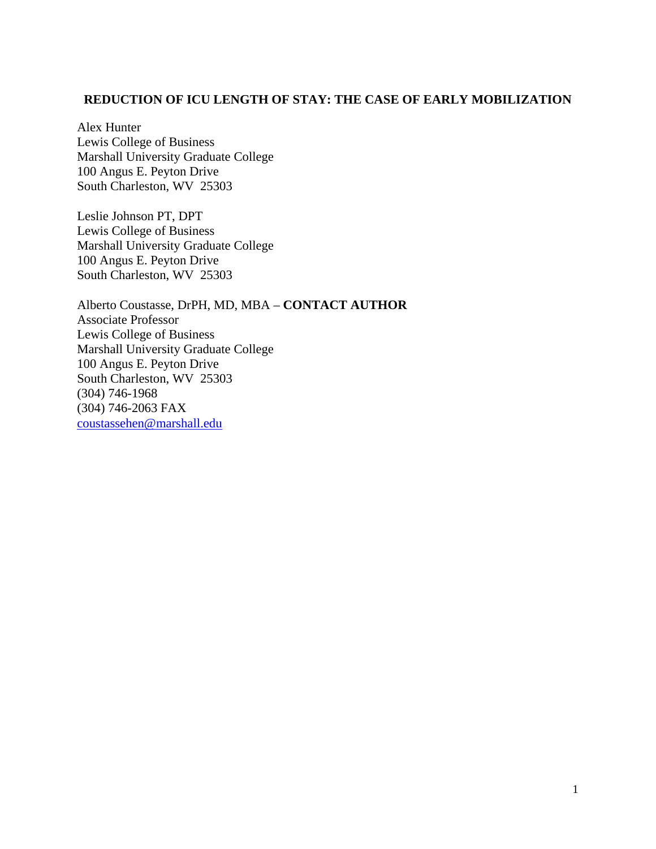#### **REDUCTION OF ICU LENGTH OF STAY: THE CASE OF EARLY MOBILIZATION**

Alex Hunter Lewis College of Business Marshall University Graduate College 100 Angus E. Peyton Drive South Charleston, WV 25303

Leslie Johnson PT, DPT Lewis College of Business Marshall University Graduate College 100 Angus E. Peyton Drive South Charleston, WV 25303

Alberto Coustasse, DrPH, MD, MBA – **CONTACT AUTHOR** Associate Professor Lewis College of Business Marshall University Graduate College 100 Angus E. Peyton Drive South Charleston, WV 25303 (304) 746-1968 (304) 746-2063 FAX [coustassehen@marshall.edu](mailto:coustassehen@marshall.edu)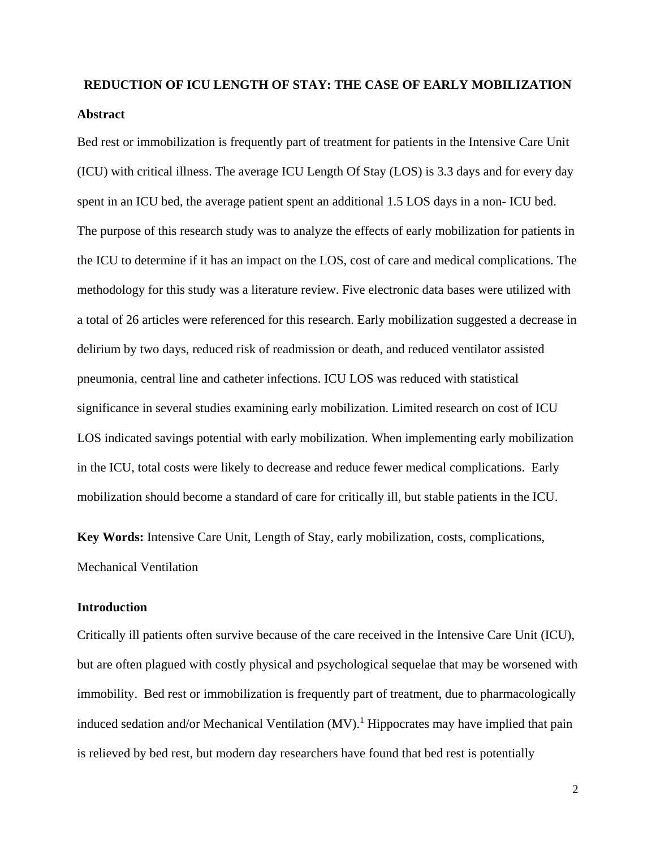# **REDUCTION OF ICU LENGTH OF STAY: THE CASE OF EARLY MOBILIZATION Abstract**

Bed rest or immobilization is frequently part of treatment for patients in the Intensive Care Unit (ICU) with critical illness. The average ICU Length Of Stay (LOS) is 3.3 days and for every day spent in an ICU bed, the average patient spent an additional 1.5 LOS days in a non- ICU bed. The purpose of this research study was to analyze the effects of early mobilization for patients in the ICU to determine if it has an impact on the LOS, cost of care and medical complications. The methodology for this study was a literature review. Five electronic data bases were utilized with a total of 26 articles were referenced for this research. Early mobilization suggested a decrease in delirium by two days, reduced risk of readmission or death, and reduced ventilator assisted pneumonia, central line and catheter infections. ICU LOS was reduced with statistical significance in several studies examining early mobilization. Limited research on cost of ICU LOS indicated savings potential with early mobilization. When implementing early mobilization in the ICU, total costs were likely to decrease and reduce fewer medical complications. Early mobilization should become a standard of care for critically ill, but stable patients in the ICU.

**Key Words:** Intensive Care Unit, Length of Stay, early mobilization, costs, complications, Mechanical Ventilation

#### **Introduction**

Critically ill patients often survive because of the care received in the Intensive Care Unit (ICU), but are often plagued with costly physical and psychological sequelae that may be worsened with immobility. Bed rest or immobilization is frequently part of treatment, due to pharmacologically induced sedation and/or Mechanical Ventilation (MV). <sup>1</sup> Hippocrates may have implied that pain is relieved by bed rest, but modern day researchers have found that bed rest is potentially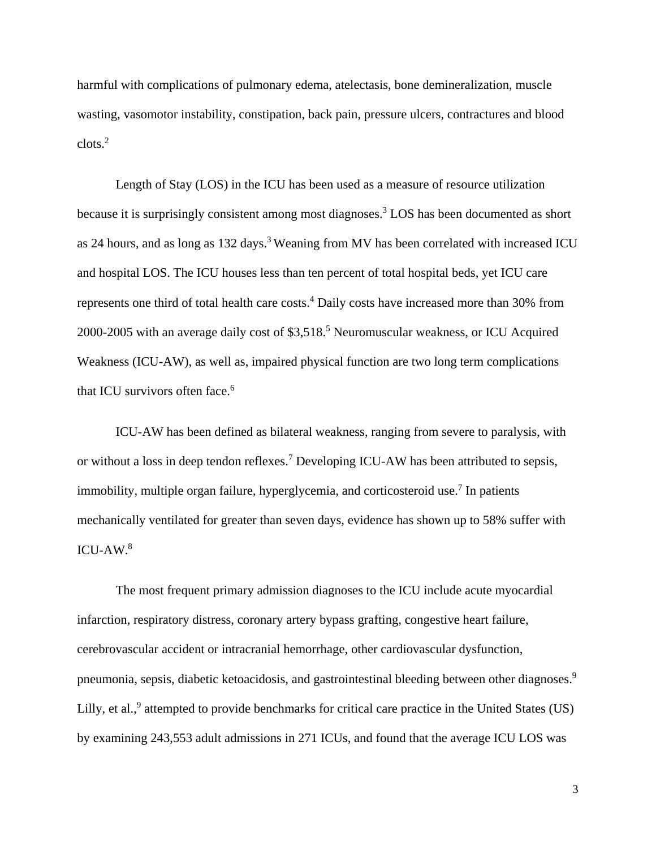harmful with complications of pulmonary edema, atelectasis, bone demineralization, muscle wasting, vasomotor instability, constipation, back pain, pressure ulcers, contractures and blood clots.2

Length of Stay (LOS) in the ICU has been used as a measure of resource utilization because it is surprisingly consistent among most diagnoses. <sup>3</sup> LOS has been documented as short as 24 hours, and as long as 132 days.<sup>3</sup> Weaning from MV has been correlated with increased ICU and hospital LOS. The ICU houses less than ten percent of total hospital beds, yet ICU care represents one third of total health care costs.<sup>4</sup> Daily costs have increased more than 30% from 2000-2005 with an average daily cost of \$3,518.<sup>5</sup> Neuromuscular weakness, or ICU Acquired Weakness (ICU-AW), as well as, impaired physical function are two long term complications that ICU survivors often face.<sup>6</sup>

ICU-AW has been defined as bilateral weakness, ranging from severe to paralysis, with or without a loss in deep tendon reflexes.<sup>7</sup> Developing ICU-AW has been attributed to sepsis, immobility, multiple organ failure, hyperglycemia, and corticosteroid use.<sup>7</sup> In patients mechanically ventilated for greater than seven days, evidence has shown up to 58% suffer with  $ICU-AW<sup>8</sup>$ 

The most frequent primary admission diagnoses to the ICU include acute myocardial infarction, respiratory distress, coronary artery bypass grafting, congestive heart failure, cerebrovascular accident or intracranial hemorrhage, other cardiovascular dysfunction, pneumonia, sepsis, diabetic ketoacidosis, and gastrointestinal bleeding between other diagnoses.<sup>9</sup> Lilly, et al., $9$  attempted to provide benchmarks for critical care practice in the United States (US) by examining 243,553 adult admissions in 271 ICUs, and found that the average ICU LOS was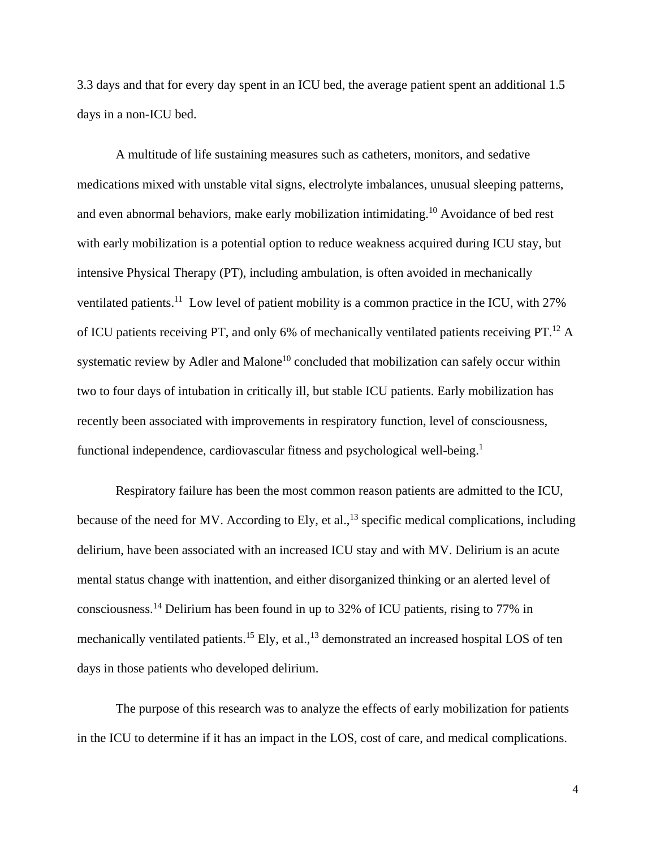3.3 days and that for every day spent in an ICU bed, the average patient spent an additional 1.5 days in a non-ICU bed.

A multitude of life sustaining measures such as catheters, monitors, and sedative medications mixed with unstable vital signs, electrolyte imbalances, unusual sleeping patterns, and even abnormal behaviors, make early mobilization intimidating.10 Avoidance of bed rest with early mobilization is a potential option to reduce weakness acquired during ICU stay, but intensive Physical Therapy (PT), including ambulation, is often avoided in mechanically ventilated patients.<sup>11</sup> Low level of patient mobility is a common practice in the ICU, with 27% of ICU patients receiving PT, and only 6% of mechanically ventilated patients receiving PT.<sup>12</sup> A systematic review by Adler and Malone<sup>10</sup> concluded that mobilization can safely occur within two to four days of intubation in critically ill, but stable ICU patients. Early mobilization has recently been associated with improvements in respiratory function, level of consciousness, functional independence, cardiovascular fitness and psychological well-being.<sup>1</sup>

Respiratory failure has been the most common reason patients are admitted to the ICU, because of the need for MV. According to Ely, et al.,  $^{13}$  specific medical complications, including delirium, have been associated with an increased ICU stay and with MV. Delirium is an acute mental status change with inattention, and either disorganized thinking or an alerted level of consciousness.<sup>14</sup> Delirium has been found in up to 32% of ICU patients, rising to 77% in mechanically ventilated patients.<sup>15</sup> Ely, et al.,<sup>13</sup> demonstrated an increased hospital LOS of ten days in those patients who developed delirium.

The purpose of this research was to analyze the effects of early mobilization for patients in the ICU to determine if it has an impact in the LOS, cost of care, and medical complications.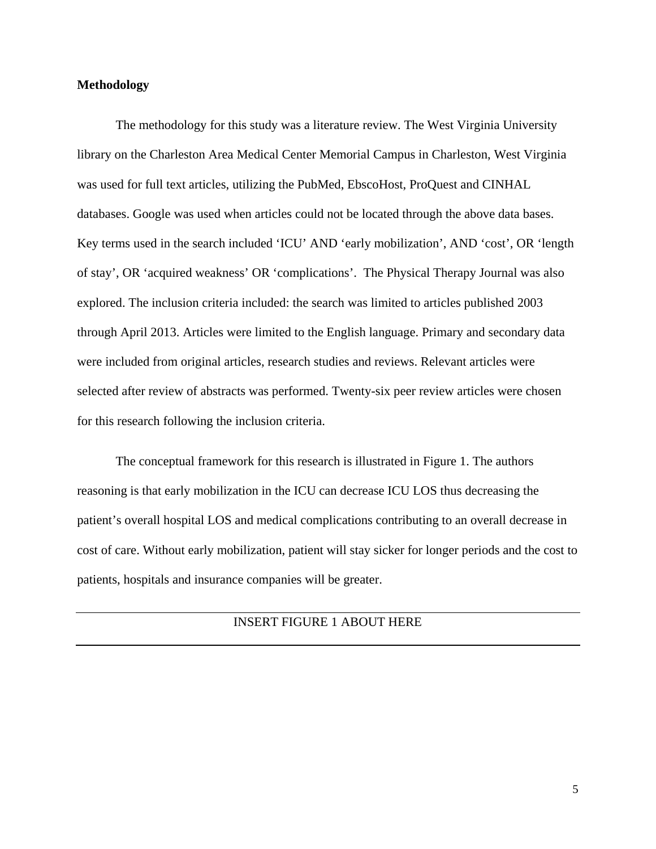#### **Methodology**

The methodology for this study was a literature review. The West Virginia University library on the Charleston Area Medical Center Memorial Campus in Charleston, West Virginia was used for full text articles, utilizing the PubMed, EbscoHost, ProQuest and CINHAL databases. Google was used when articles could not be located through the above data bases. Key terms used in the search included 'ICU' AND 'early mobilization', AND 'cost', OR 'length of stay', OR 'acquired weakness' OR 'complications'. The Physical Therapy Journal was also explored. The inclusion criteria included: the search was limited to articles published 2003 through April 2013. Articles were limited to the English language. Primary and secondary data were included from original articles, research studies and reviews. Relevant articles were selected after review of abstracts was performed. Twenty-six peer review articles were chosen for this research following the inclusion criteria.

The conceptual framework for this research is illustrated in Figure 1. The authors reasoning is that early mobilization in the ICU can decrease ICU LOS thus decreasing the patient's overall hospital LOS and medical complications contributing to an overall decrease in cost of care. Without early mobilization, patient will stay sicker for longer periods and the cost to patients, hospitals and insurance companies will be greater.

#### INSERT FIGURE 1 ABOUT HERE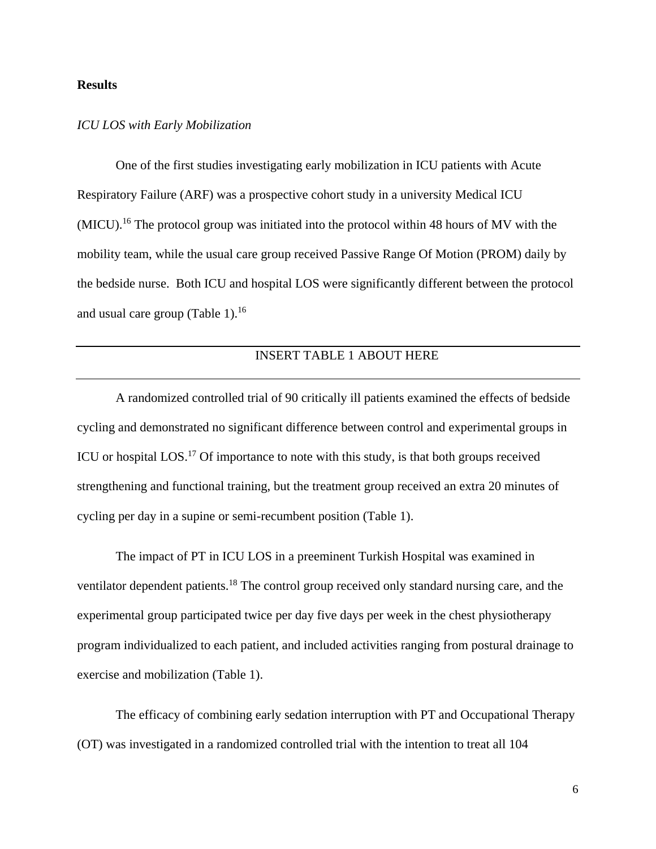#### **Results**

#### *ICU LOS with Early Mobilization*

One of the first studies investigating early mobilization in ICU patients with Acute Respiratory Failure (ARF) was a prospective cohort study in a university Medical ICU (MICU).<sup>16</sup> The protocol group was initiated into the protocol within 48 hours of MV with the mobility team, while the usual care group received Passive Range Of Motion (PROM) daily by the bedside nurse. Both ICU and hospital LOS were significantly different between the protocol and usual care group (Table 1). $^{16}$ 

## INSERT TABLE 1 ABOUT HERE

A randomized controlled trial of 90 critically ill patients examined the effects of bedside cycling and demonstrated no significant difference between control and experimental groups in ICU or hospital LOS.<sup>17</sup> Of importance to note with this study, is that both groups received strengthening and functional training, but the treatment group received an extra 20 minutes of cycling per day in a supine or semi-recumbent position (Table 1).

The impact of PT in ICU LOS in a preeminent Turkish Hospital was examined in ventilator dependent patients.<sup>18</sup> The control group received only standard nursing care, and the experimental group participated twice per day five days per week in the chest physiotherapy program individualized to each patient, and included activities ranging from postural drainage to exercise and mobilization (Table 1).

The efficacy of combining early sedation interruption with PT and Occupational Therapy (OT) was investigated in a randomized controlled trial with the intention to treat all 104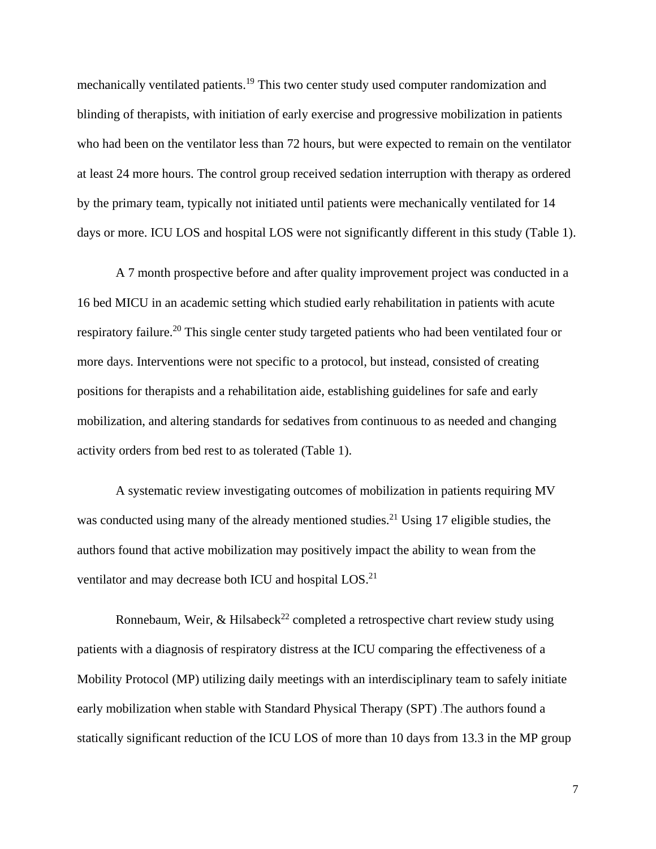mechanically ventilated patients.19 This two center study used computer randomization and blinding of therapists, with initiation of early exercise and progressive mobilization in patients who had been on the ventilator less than 72 hours, but were expected to remain on the ventilator at least 24 more hours. The control group received sedation interruption with therapy as ordered by the primary team, typically not initiated until patients were mechanically ventilated for 14 days or more. ICU LOS and hospital LOS were not significantly different in this study (Table 1).

A 7 month prospective before and after quality improvement project was conducted in a 16 bed MICU in an academic setting which studied early rehabilitation in patients with acute respiratory failure.20 This single center study targeted patients who had been ventilated four or more days. Interventions were not specific to a protocol, but instead, consisted of creating positions for therapists and a rehabilitation aide, establishing guidelines for safe and early mobilization, and altering standards for sedatives from continuous to as needed and changing activity orders from bed rest to as tolerated (Table 1).

A systematic review investigating outcomes of mobilization in patients requiring MV was conducted using many of the already mentioned studies.<sup>21</sup> Using 17 eligible studies, the authors found that active mobilization may positively impact the ability to wean from the ventilator and may decrease both ICU and hospital LOS.<sup>21</sup>

Ronnebaum, Weir, & Hilsabeck<sup>22</sup> completed a retrospective chart review study using patients with a diagnosis of respiratory distress at the ICU comparing the effectiveness of a Mobility Protocol (MP) utilizing daily meetings with an interdisciplinary team to safely initiate early mobilization when stable with Standard Physical Therapy (SPT) .The authors found a statically significant reduction of the ICU LOS of more than 10 days from 13.3 in the MP group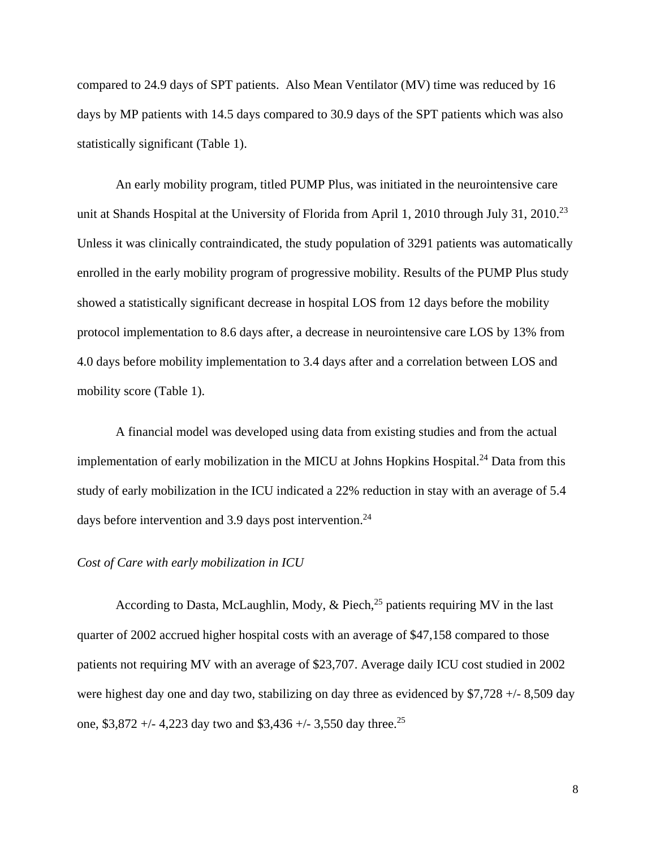compared to 24.9 days of SPT patients. Also Mean Ventilator (MV) time was reduced by 16 days by MP patients with 14.5 days compared to 30.9 days of the SPT patients which was also statistically significant (Table 1).

An early mobility program, titled PUMP Plus, was initiated in the neurointensive care unit at Shands Hospital at the University of Florida from April 1, 2010 through July 31, 2010.<sup>23</sup> Unless it was clinically contraindicated, the study population of 3291 patients was automatically enrolled in the early mobility program of progressive mobility. Results of the PUMP Plus study showed a statistically significant decrease in hospital LOS from 12 days before the mobility protocol implementation to 8.6 days after, a decrease in neurointensive care LOS by 13% from 4.0 days before mobility implementation to 3.4 days after and a correlation between LOS and mobility score (Table 1).

A financial model was developed using data from existing studies and from the actual implementation of early mobilization in the MICU at Johns Hopkins Hospital.<sup>24</sup> Data from this study of early mobilization in the ICU indicated a 22% reduction in stay with an average of 5.4 days before intervention and 3.9 days post intervention.<sup>24</sup>

#### *Cost of Care with early mobilization in ICU*

According to Dasta, McLaughlin, Mody, & Piech, $^{25}$  patients requiring MV in the last quarter of 2002 accrued higher hospital costs with an average of \$47,158 compared to those patients not requiring MV with an average of \$23,707. Average daily ICU cost studied in 2002 were highest day one and day two, stabilizing on day three as evidenced by \$7,728 +/- 8,509 day one, \$3,872 +/- 4,223 day two and \$3,436 +/- 3,550 day three.<sup>25</sup>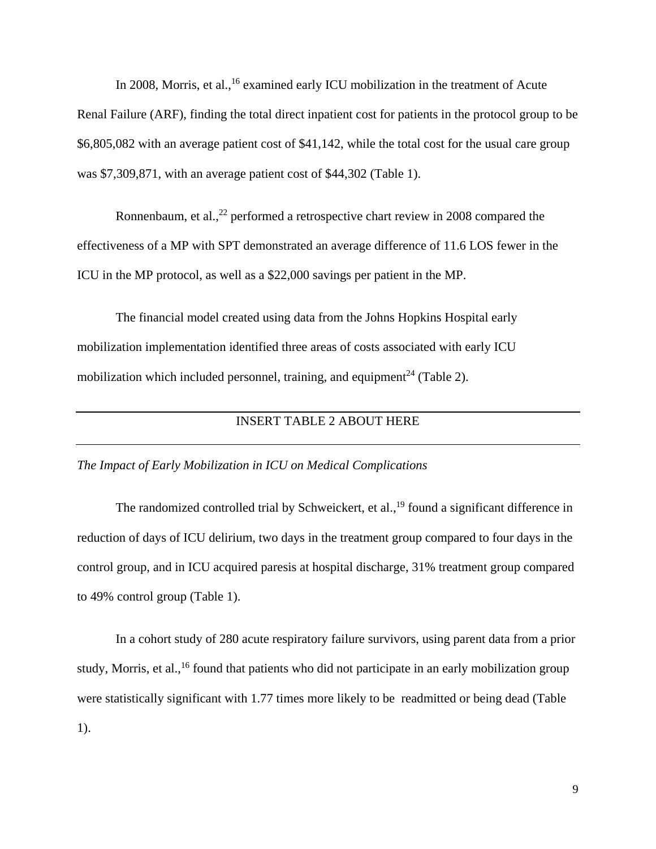In 2008, Morris, et al., <sup>16</sup> examined early ICU mobilization in the treatment of Acute Renal Failure (ARF), finding the total direct inpatient cost for patients in the protocol group to be \$6,805,082 with an average patient cost of \$41,142, while the total cost for the usual care group was \$7,309,871, with an average patient cost of \$44,302 (Table 1).

Ronnenbaum, et al.,  $^{22}$  performed a retrospective chart review in 2008 compared the effectiveness of a MP with SPT demonstrated an average difference of 11.6 LOS fewer in the ICU in the MP protocol, as well as a \$22,000 savings per patient in the MP.

The financial model created using data from the Johns Hopkins Hospital early mobilization implementation identified three areas of costs associated with early ICU mobilization which included personnel, training, and equipment<sup>24</sup> (Table 2).

### INSERT TABLE 2 ABOUT HERE

#### *The Impact of Early Mobilization in ICU on Medical Complications*

The randomized controlled trial by Schweickert, et al.,<sup>19</sup> found a significant difference in reduction of days of ICU delirium, two days in the treatment group compared to four days in the control group, and in ICU acquired paresis at hospital discharge, 31% treatment group compared to 49% control group (Table 1).

In a cohort study of 280 acute respiratory failure survivors, using parent data from a prior study, Morris, et al., <sup>16</sup> found that patients who did not participate in an early mobilization group were statistically significant with 1.77 times more likely to be readmitted or being dead (Table 1).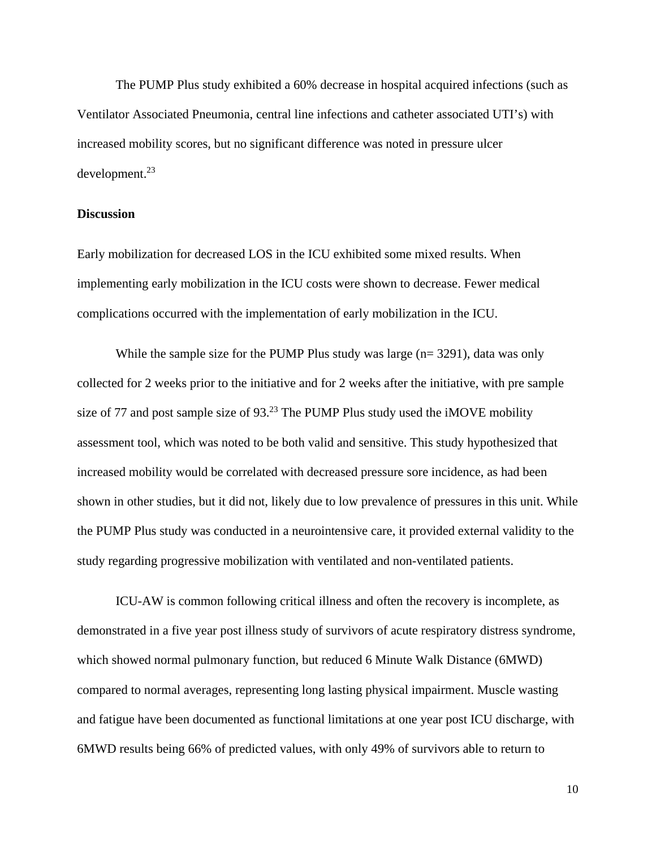The PUMP Plus study exhibited a 60% decrease in hospital acquired infections (such as Ventilator Associated Pneumonia, central line infections and catheter associated UTI's) with increased mobility scores, but no significant difference was noted in pressure ulcer development.23

#### **Discussion**

Early mobilization for decreased LOS in the ICU exhibited some mixed results. When implementing early mobilization in the ICU costs were shown to decrease. Fewer medical complications occurred with the implementation of early mobilization in the ICU.

While the sample size for the PUMP Plus study was large (n= 3291), data was only collected for 2 weeks prior to the initiative and for 2 weeks after the initiative, with pre sample size of 77 and post sample size of  $93<sup>23</sup>$  The PUMP Plus study used the iMOVE mobility assessment tool, which was noted to be both valid and sensitive. This study hypothesized that increased mobility would be correlated with decreased pressure sore incidence, as had been shown in other studies, but it did not, likely due to low prevalence of pressures in this unit. While the PUMP Plus study was conducted in a neurointensive care, it provided external validity to the study regarding progressive mobilization with ventilated and non-ventilated patients.

ICU-AW is common following critical illness and often the recovery is incomplete, as demonstrated in a five year post illness study of survivors of acute respiratory distress syndrome, which showed normal pulmonary function, but reduced 6 Minute Walk Distance (6MWD) compared to normal averages, representing long lasting physical impairment. Muscle wasting and fatigue have been documented as functional limitations at one year post ICU discharge, with 6MWD results being 66% of predicted values, with only 49% of survivors able to return to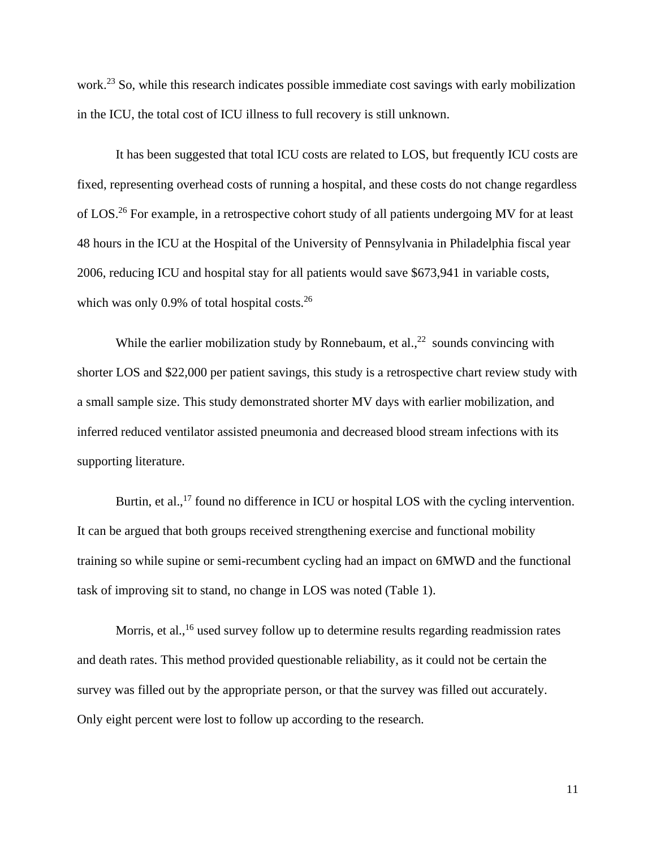work.<sup>23</sup> So, while this research indicates possible immediate cost savings with early mobilization in the ICU, the total cost of ICU illness to full recovery is still unknown.

It has been suggested that total ICU costs are related to LOS, but frequently ICU costs are fixed, representing overhead costs of running a hospital, and these costs do not change regardless of LOS.<sup>26</sup> For example, in a retrospective cohort study of all patients undergoing MV for at least 48 hours in the ICU at the Hospital of the University of Pennsylvania in Philadelphia fiscal year 2006, reducing ICU and hospital stay for all patients would save \$673,941 in variable costs, which was only  $0.9\%$  of total hospital costs.<sup>26</sup>

While the earlier mobilization study by Ronnebaum, et al.,  $^{22}$  sounds convincing with shorter LOS and \$22,000 per patient savings, this study is a retrospective chart review study with a small sample size. This study demonstrated shorter MV days with earlier mobilization, and inferred reduced ventilator assisted pneumonia and decreased blood stream infections with its supporting literature.

Burtin, et al.,<sup>17</sup> found no difference in ICU or hospital LOS with the cycling intervention. It can be argued that both groups received strengthening exercise and functional mobility training so while supine or semi-recumbent cycling had an impact on 6MWD and the functional task of improving sit to stand, no change in LOS was noted (Table 1).

Morris, et al., <sup>16</sup> used survey follow up to determine results regarding readmission rates and death rates. This method provided questionable reliability, as it could not be certain the survey was filled out by the appropriate person, or that the survey was filled out accurately. Only eight percent were lost to follow up according to the research.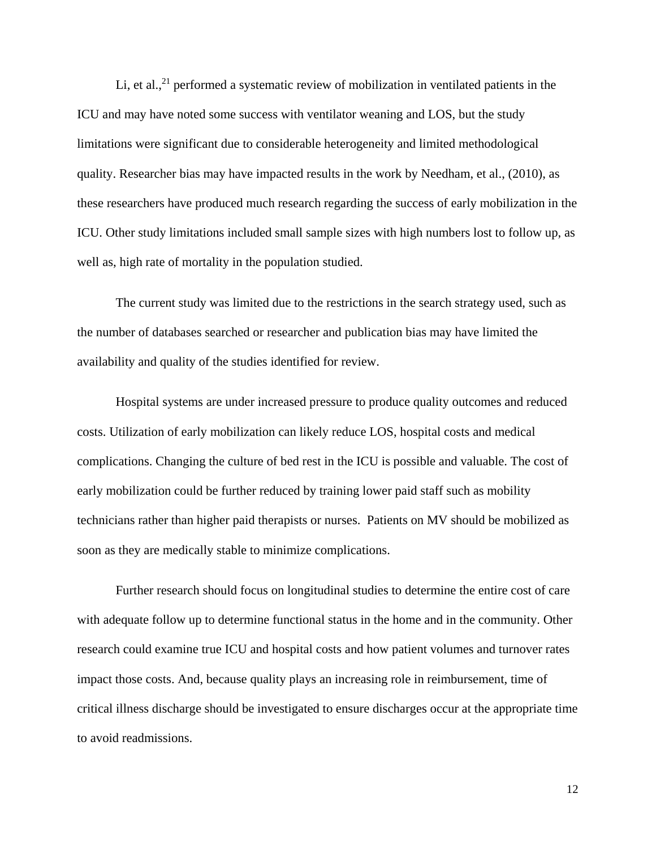Li, et al.,<sup>21</sup> performed a systematic review of mobilization in ventilated patients in the ICU and may have noted some success with ventilator weaning and LOS, but the study limitations were significant due to considerable heterogeneity and limited methodological quality. Researcher bias may have impacted results in the work by Needham, et al., (2010), as these researchers have produced much research regarding the success of early mobilization in the ICU. Other study limitations included small sample sizes with high numbers lost to follow up, as well as, high rate of mortality in the population studied.

The current study was limited due to the restrictions in the search strategy used, such as the number of databases searched or researcher and publication bias may have limited the availability and quality of the studies identified for review.

Hospital systems are under increased pressure to produce quality outcomes and reduced costs. Utilization of early mobilization can likely reduce LOS, hospital costs and medical complications. Changing the culture of bed rest in the ICU is possible and valuable. The cost of early mobilization could be further reduced by training lower paid staff such as mobility technicians rather than higher paid therapists or nurses. Patients on MV should be mobilized as soon as they are medically stable to minimize complications.

Further research should focus on longitudinal studies to determine the entire cost of care with adequate follow up to determine functional status in the home and in the community. Other research could examine true ICU and hospital costs and how patient volumes and turnover rates impact those costs. And, because quality plays an increasing role in reimbursement, time of critical illness discharge should be investigated to ensure discharges occur at the appropriate time to avoid readmissions.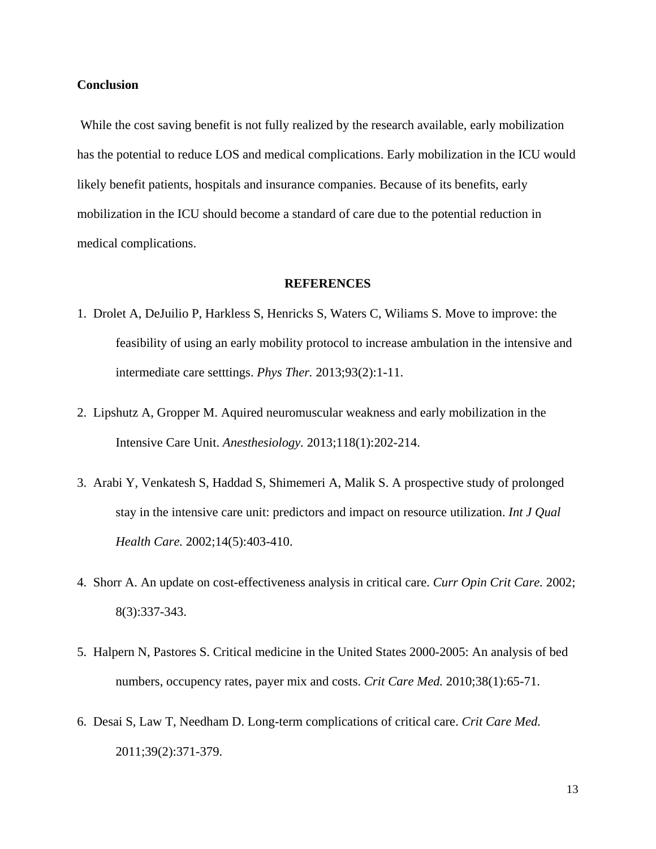#### **Conclusion**

While the cost saving benefit is not fully realized by the research available, early mobilization has the potential to reduce LOS and medical complications. Early mobilization in the ICU would likely benefit patients, hospitals and insurance companies. Because of its benefits, early mobilization in the ICU should become a standard of care due to the potential reduction in medical complications.

#### **REFERENCES**

- 1. Drolet A, DeJuilio P, Harkless S, Henricks S, Waters C, Wiliams S. Move to improve: the feasibility of using an early mobility protocol to increase ambulation in the intensive and intermediate care setttings. *Phys Ther.* 2013;93(2):1-11.
- 2. Lipshutz A, Gropper M. Aquired neuromuscular weakness and early mobilization in the Intensive Care Unit. *Anesthesiology.* 2013;118(1):202-214.
- 3. Arabi Y, Venkatesh S, Haddad S, Shimemeri A, Malik S. A prospective study of prolonged stay in the intensive care unit: predictors and impact on resource utilization. *Int J Qual Health Care.* 2002;14(5):403-410.
- 4. Shorr A. An update on cost-effectiveness analysis in critical care. *Curr Opin Crit Care.* 2002; 8(3):337-343.
- 5. Halpern N, Pastores S. Critical medicine in the United States 2000-2005: An analysis of bed numbers, occupency rates, payer mix and costs. *Crit Care Med.* 2010;38(1):65-71.
- 6. Desai S, Law T, Needham D. Long-term complications of critical care. *Crit Care Med.*  2011;39(2):371-379.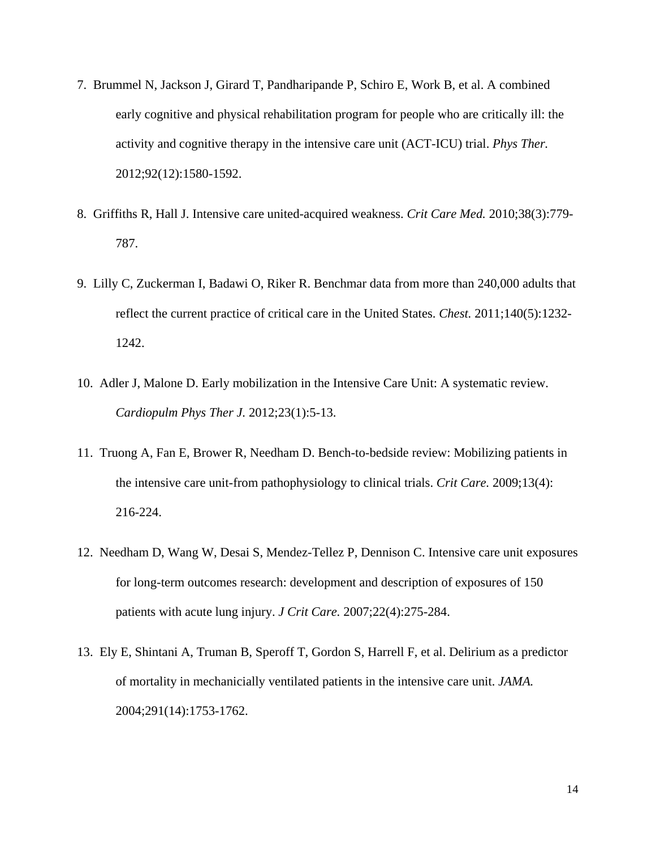- 7. Brummel N, Jackson J, Girard T, Pandharipande P, Schiro E, Work B, et al. A combined early cognitive and physical rehabilitation program for people who are critically ill: the activity and cognitive therapy in the intensive care unit (ACT-ICU) trial. *Phys Ther.*  2012;92(12):1580-1592.
- 8. Griffiths R, Hall J. Intensive care united-acquired weakness. *Crit Care Med.* 2010;38(3):779- 787.
- 9. Lilly C, Zuckerman I, Badawi O, Riker R. Benchmar data from more than 240,000 adults that reflect the current practice of critical care in the United States. *Chest.* 2011;140(5):1232- 1242.
- 10. Adler J, Malone D. Early mobilization in the Intensive Care Unit: A systematic review. *Cardiopulm Phys Ther J.* 2012;23(1):5-13.
- 11. Truong A, Fan E, Brower R, Needham D. Bench-to-bedside review: Mobilizing patients in the intensive care unit-from pathophysiology to clinical trials. *Crit Care.* 2009;13(4): 216-224.
- 12. Needham D, Wang W, Desai S, Mendez-Tellez P, Dennison C. Intensive care unit exposures for long-term outcomes research: development and description of exposures of 150 patients with acute lung injury. *J Crit Care.* 2007;22(4):275-284.
- 13. Ely E, Shintani A, Truman B, Speroff T, Gordon S, Harrell F, et al. Delirium as a predictor of mortality in mechanicially ventilated patients in the intensive care unit. *JAMA.*  2004;291(14):1753-1762.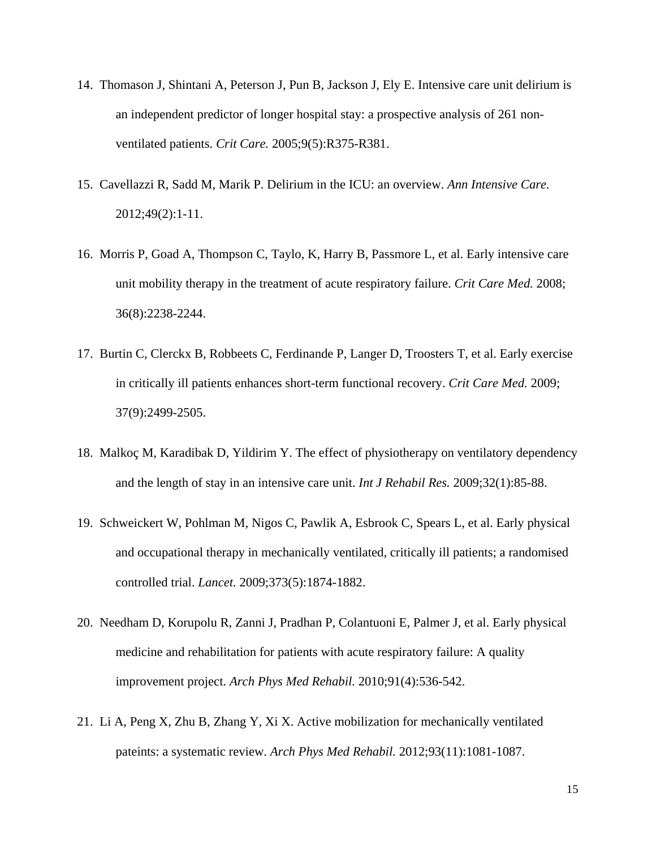- 14. Thomason J, Shintani A, Peterson J, Pun B, Jackson J, Ely E. Intensive care unit delirium is an independent predictor of longer hospital stay: a prospective analysis of 261 nonventilated patients. *Crit Care.* 2005;9(5):R375-R381.
- 15. Cavellazzi R, Sadd M, Marik P. Delirium in the ICU: an overview. *Ann Intensive Care.*  2012;49(2):1-11.
- 16. Morris P, Goad A, Thompson C, Taylo, K, Harry B, Passmore L, et al. Early intensive care unit mobility therapy in the treatment of acute respiratory failure. *Crit Care Med.* 2008; 36(8):2238-2244.
- 17. Burtin C, Clerckx B, Robbeets C, Ferdinande P, Langer D, Troosters T, et al. Early exercise in critically ill patients enhances short-term functional recovery. *Crit Care Med.* 2009; 37(9):2499-2505.
- 18. Malkoç M, Karadibak D, Yildirim Y. The effect of physiotherapy on ventilatory dependency and the length of stay in an intensive care unit. *Int J Rehabil Res.* 2009;32(1):85-88.
- 19. Schweickert W, Pohlman M, Nigos C, Pawlik A, Esbrook C, Spears L, et al. Early physical and occupational therapy in mechanically ventilated, critically ill patients; a randomised controlled trial. *Lancet.* 2009;373(5):1874-1882.
- 20. Needham D, Korupolu R, Zanni J, Pradhan P, Colantuoni E, Palmer J, et al. Early physical medicine and rehabilitation for patients with acute respiratory failure: A quality improvement project. *Arch Phys Med Rehabil.* 2010;91(4):536-542.
- 21. Li A, Peng X, Zhu B, Zhang Y, Xi X. Active mobilization for mechanically ventilated pateints: a systematic review. *Arch Phys Med Rehabil.* 2012;93(11):1081-1087.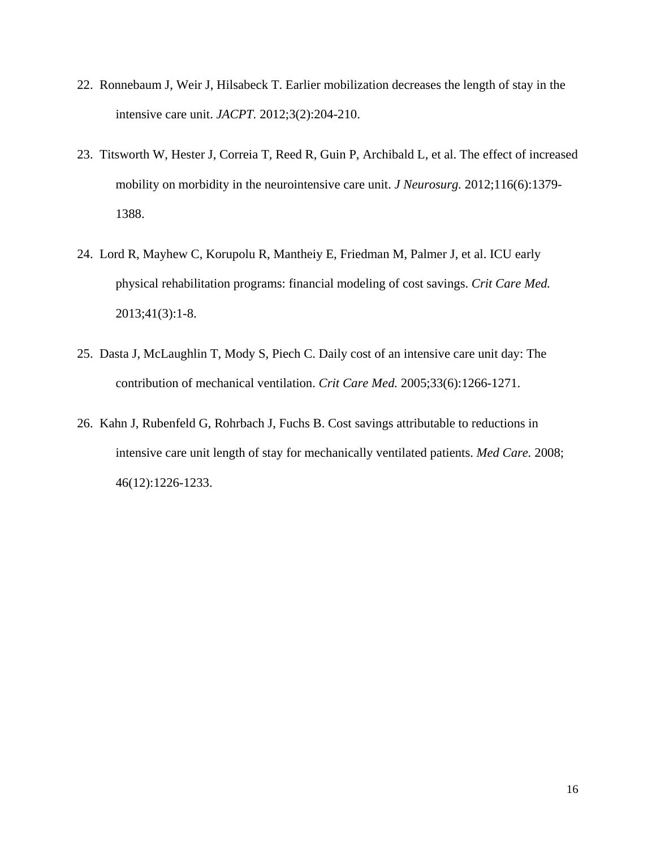- 22. Ronnebaum J, Weir J, Hilsabeck T. Earlier mobilization decreases the length of stay in the intensive care unit. *JACPT.* 2012;3(2):204-210.
- 23. Titsworth W, Hester J, Correia T, Reed R, Guin P, Archibald L, et al. The effect of increased mobility on morbidity in the neurointensive care unit. *J Neurosurg.* 2012;116(6):1379- 1388.
- 24. Lord R, Mayhew C, Korupolu R, Mantheiy E, Friedman M, Palmer J, et al. ICU early physical rehabilitation programs: financial modeling of cost savings. *Crit Care Med.*  2013;41(3):1-8.
- 25. Dasta J, McLaughlin T, Mody S, Piech C. Daily cost of an intensive care unit day: The contribution of mechanical ventilation. *Crit Care Med.* 2005;33(6):1266-1271.
- 26. Kahn J, Rubenfeld G, Rohrbach J, Fuchs B. Cost savings attributable to reductions in intensive care unit length of stay for mechanically ventilated patients. *Med Care.* 2008; 46(12):1226-1233.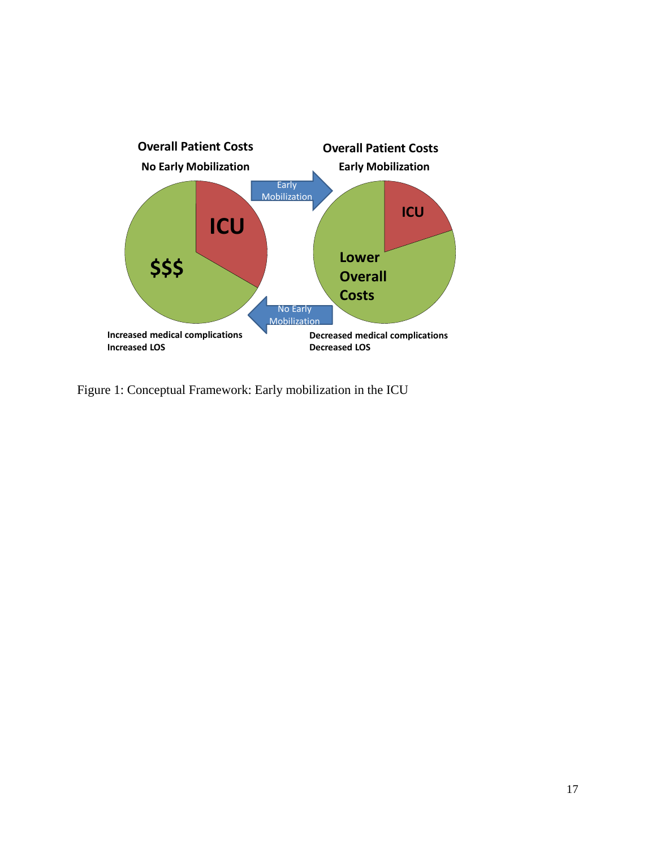

Figure 1: Conceptual Framework: Early mobilization in the ICU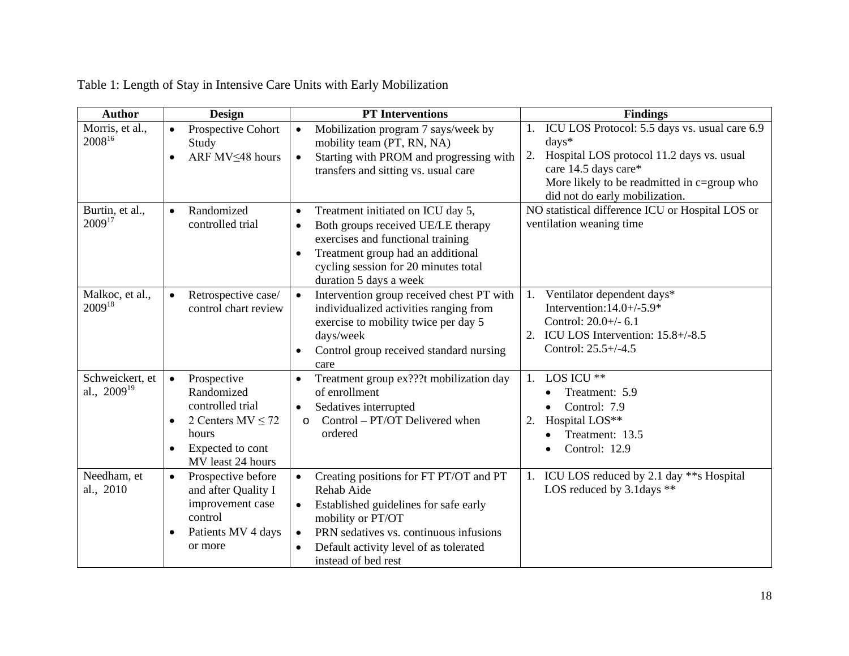| <b>Author</b>                       | <b>Design</b>                                                                                                                                                   | <b>PT</b> Interventions                                                                                                                                                                                                                                                           | <b>Findings</b>                                                                                                                                                                                                                     |
|-------------------------------------|-----------------------------------------------------------------------------------------------------------------------------------------------------------------|-----------------------------------------------------------------------------------------------------------------------------------------------------------------------------------------------------------------------------------------------------------------------------------|-------------------------------------------------------------------------------------------------------------------------------------------------------------------------------------------------------------------------------------|
| Morris, et al.,<br>200816           | Prospective Cohort<br>$\bullet$<br>Study<br>ARF MV<48 hours<br>$\bullet$                                                                                        | Mobilization program 7 says/week by<br>$\bullet$<br>mobility team (PT, RN, NA)<br>Starting with PROM and progressing with<br>$\bullet$<br>transfers and sitting vs. usual care                                                                                                    | ICU LOS Protocol: 5.5 days vs. usual care 6.9<br>1.<br>days*<br>Hospital LOS protocol 11.2 days vs. usual<br>2.<br>care 14.5 days care*<br>More likely to be readmitted in $c = \text{group who}$<br>did not do early mobilization. |
| Burtin, et al.,<br>$2009^{17}$      | Randomized<br>$\bullet$<br>controlled trial                                                                                                                     | Treatment initiated on ICU day 5,<br>$\bullet$<br>Both groups received UE/LE therapy<br>$\bullet$<br>exercises and functional training<br>Treatment group had an additional<br>$\bullet$<br>cycling session for 20 minutes total<br>duration 5 days a week                        | NO statistical difference ICU or Hospital LOS or<br>ventilation weaning time                                                                                                                                                        |
| Malkoc, et al.,<br>$2009^{18}$      | Retrospective case/<br>$\bullet$<br>control chart review                                                                                                        | Intervention group received chest PT with<br>$\bullet$<br>individualized activities ranging from<br>exercise to mobility twice per day 5<br>days/week<br>Control group received standard nursing<br>$\bullet$<br>care                                                             | Ventilator dependent days*<br>Intervention: $14.0+/-5.9*$<br>Control: 20.0+/- 6.1<br>2. ICU LOS Intervention: 15.8+/-8.5<br>Control: 25.5+/-4.5                                                                                     |
| Schweickert, et<br>al., $2009^{19}$ | Prospective<br>$\bullet$<br>Randomized<br>controlled trial<br>2 Centers $MV \le 72$<br>$\bullet$<br>hours<br>Expected to cont<br>$\bullet$<br>MV least 24 hours | Treatment group ex???t mobilization day<br>of enrollment<br>Sedatives interrupted<br>$\bullet$<br>Control – PT/OT Delivered when<br>$\circ$<br>ordered                                                                                                                            | LOS ICU **<br>1.<br>Treatment: 5.9<br>Control: 7.9<br>$\bullet$<br>Hospital LOS**<br>2.<br>Treatment: 13.5<br>Control: 12.9<br>$\bullet$                                                                                            |
| Needham, et<br>al., 2010            | Prospective before<br>$\bullet$<br>and after Quality I<br>improvement case<br>control<br>Patients MV 4 days<br>$\bullet$<br>or more                             | Creating positions for FT PT/OT and PT<br>$\bullet$<br>Rehab Aide<br>Established guidelines for safe early<br>$\bullet$<br>mobility or PT/OT<br>PRN sedatives vs. continuous infusions<br>$\bullet$<br>Default activity level of as tolerated<br>$\bullet$<br>instead of bed rest | 1. ICU LOS reduced by 2.1 day **s Hospital<br>LOS reduced by $3.1$ days $**$                                                                                                                                                        |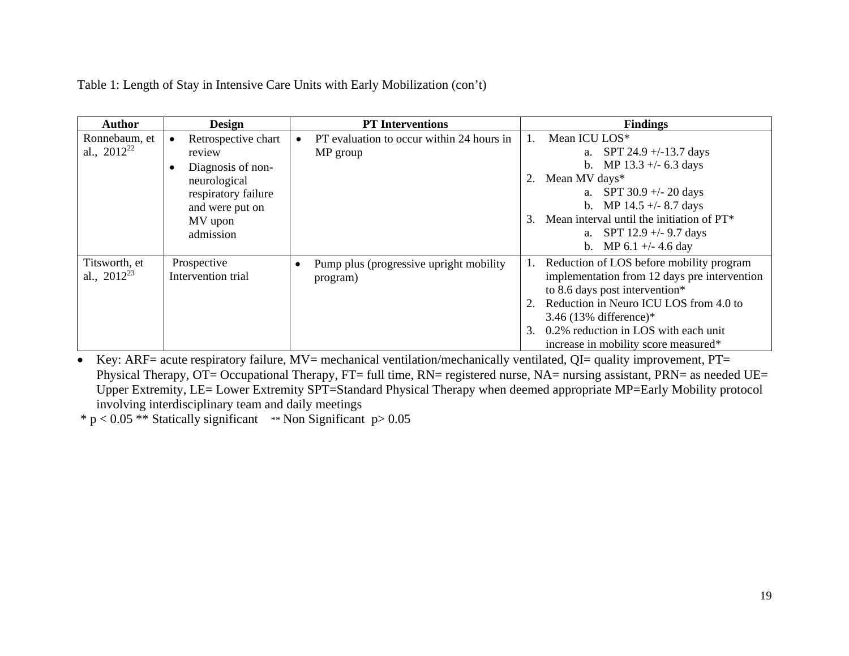Table 1: Length of Stay in Intensive Care Units with Early Mobilization (con't)

| Author                            | <b>Design</b>                                                                                                                                     | <b>PT</b> Interventions                                          | <b>Findings</b>                                                                                                                                                                                                                                                                                          |
|-----------------------------------|---------------------------------------------------------------------------------------------------------------------------------------------------|------------------------------------------------------------------|----------------------------------------------------------------------------------------------------------------------------------------------------------------------------------------------------------------------------------------------------------------------------------------------------------|
| Ronnebaum, et<br>al., $2012^{22}$ | Retrospective chart<br>$\bullet$<br>review<br>Diagnosis of non-<br>neurological<br>respiratory failure<br>and were put on<br>MV upon<br>admission | PT evaluation to occur within 24 hours in<br>MP group            | Mean ICU LOS*<br>SPT 24.9 $+/-13.7$ days<br>a.<br>MP 13.3 $+/- 6.3$ days<br>$\mathbf{b}$ .<br>Mean MV days*<br>a. SPT $30.9 + -20$ days<br>b. MP $14.5 +/- 8.7$ days<br>Mean interval until the initiation of PT*<br>$\mathcal{E}$<br>a. SPT $12.9 +/- 9.7$ days<br>MP 6.1 +/- 4.6 day<br>$\mathbf{b}$ . |
| Titsworth, et<br>al., $2012^{23}$ | Prospective<br>Intervention trial                                                                                                                 | Pump plus (progressive upright mobility<br>$\bullet$<br>program) | Reduction of LOS before mobility program<br>implementation from 12 days pre intervention<br>to 8.6 days post intervention*<br>Reduction in Neuro ICU LOS from 4.0 to<br>3.46 (13% difference)*<br>0.2% reduction in LOS with each unit<br>3.<br>increase in mobility score measured*                     |

• Key: ARF= acute respiratory failure,  $MV$ = mechanical ventilation/mechanically ventilated, QI= quality improvement, PT= Physical Therapy, OT= Occupational Therapy, FT= full time, RN= registered nurse, NA= nursing assistant, PRN= as needed UE= Upper Extremity, LE= Lower Extremity SPT=Standard Physical Therapy when deemed appropriate MP=Early Mobility protocol involving interdisciplinary team and daily meetings

 $* p < 0.05$  \*\* Statically significant \*\* Non Significant  $p > 0.05$